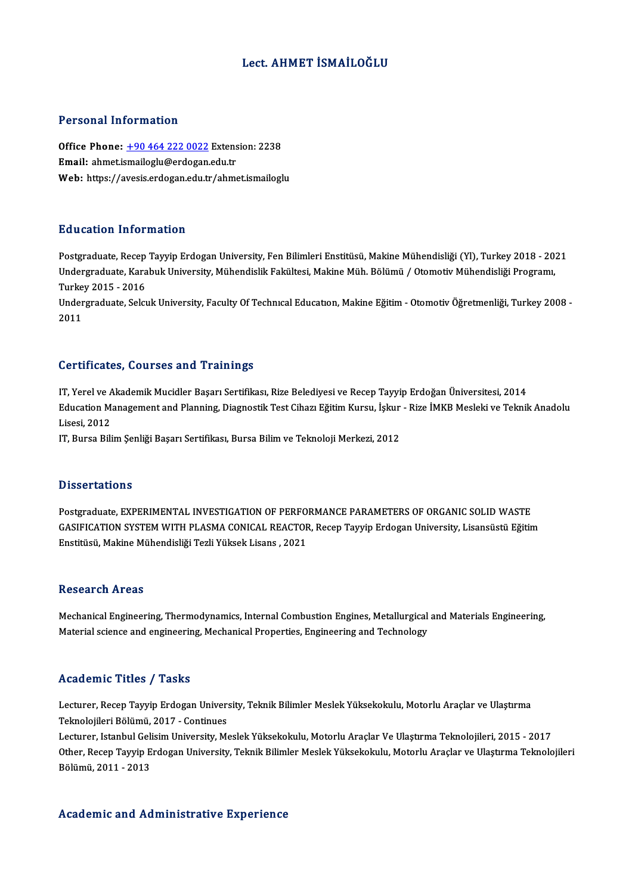### Lect. AHMET İSMAİLOĞLU

#### Personal Information

Personal Information<br>Office Phone: <u>+90 464 222 0022</u> Extension: 2238<br>Email: abmetismailegly@ordogan.cdu.tr Procedur Hirot Hidden<br>Office Phone: <u>+90 464 222 0022</u> Extens<br>Email: ahmet.i[smailoglu@erdogan](tel:+90 464 222 0022).edu.tr Email: ahmet.ismailoglu@erdogan.edu.tr<br>Web: https://avesis.erdogan.edu.tr/ahmet.ismailoglu

#### Education Information

Postgraduate, Recep Tayyip Erdogan University, Fen Bilimleri Enstitüsü, Makine Mühendisliği (Yl), Turkey 2018 - 2021 Du u oderon "III'or III'deron"<br>Postgraduate, Recep Tayyip Erdogan University, Fen Bilimleri Enstitüsü, Makine Mühendisliği (Yl), Turkey 2018 - 20:<br>Undergraduate, Karabuk University, Mühendislik Fakültesi, Makine Müh. Bölüm Postgraduate, Recep<br>Undergraduate, Kara<br>Turkey 2015 - 2016<br>Undergraduate, Selcu Undergraduate, Karabuk University, Mühendislik Fakültesi, Makine Müh. Bölümü / Otomotiv Mühendisliği Programı,<br>Turkey 2015 - 2016<br>Undergraduate, Selcuk University, Faculty Of Technıcal Educatıon, Makine Eğitim - Otomotiv Ö

Turkey 2015 - 2016<br>Undergraduate, Selcuk University, Faculty Of Technıcal Education, Makine Eğitim - Otomotiv Öğretmenliği, Turkey 2008 -<br>2011

#### Certificates, Courses and Trainings

Ce<mark>rtificates, Courses and Trainings</mark><br>IT, Yerel ve Akademik Mucidler Başarı Sertifikası, Rize Belediyesi ve Recep Tayyip Erdoğan Üniversitesi, 2014<br>Education Manasement and Planning, Diagnestik Test Giharı Eğitim Kurey, İs Education Management and Planning, Diagnostik Test Cihazı Eğitim Kursu, İşkur - Rize İMKB Mesleki ve Teknik Anadolu<br>Lisesi, 2012 IT, Yerel ve A<br>Education M:<br>Lisesi, 2012<br>IT, Purse Pili

IT, Bursa Bilim Şenliği Başarı Sertifikası, Bursa Bilim ve Teknoloji Merkezi, 2012

#### **Dissertations**

Postgraduate, EXPERIMENTAL INVESTIGATION OF PERFORMANCE PARAMETERS OF ORGANIC SOLID WASTE B ISSOT CATIONS<br>Postgraduate, EXPERIMENTAL INVESTIGATION OF PERFORMANCE PARAMETERS OF ORGANIC SOLID WASTE<br>GASIFICATION SYSTEM WITH PLASMA CONICAL REACTOR, Recep Tayyip Erdogan University, Lisansüstü Eğitim<br>Enstitüsü, Makin Postgraduate, EXPERIMENTAL INVESTIGATION OF PERFO<br>GASIFICATION SYSTEM WITH PLASMA CONICAL REACTOF<br>Enstitüsü, Makine Mühendisliği Tezli Yüksek Lisans , 2021 Enstitüsü, Makine Mühendisliği Tezli Yüksek Lisans , 2021<br>Research Areas

Mechanical Engineering, Thermodynamics, Internal Combustion Engines, Metallurgical and Materials Engineering, Material science and engineering, Mechanical Properties, Engineering and Technology

### Academic Titles / Tasks

**Academic Titles / Tasks**<br>Lecturer, Recep Tayyip Erdogan University, Teknik Bilimler Meslek Yüksekokulu, Motorlu Araçlar ve Ulaştırma<br>Teknolojilari Bölümü, 2017, Continucs Teknolojileri Teknoloji<br>Lecturer, Recep Tayyip Erdogan Univer:<br>Teknolojileri Bölümü, 2017 - Continues<br>Lecturer, Istanbul Colisim University, M Lecturer, Recep Tayyip Erdogan University, Teknik Bilimler Meslek Yüksekokulu, Motorlu Araçlar ve Ulaştırma<br>Teknolojileri Bölümü, 2017 - Continues<br>Lecturer, Istanbul Gelisim University, Meslek Yüksekokulu, Motorlu Araçlar

Teknolojileri Bölümü, 2017 - Continues<br>Lecturer, Istanbul Gelisim University, Meslek Yüksekokulu, Motorlu Araçlar Ve Ulaştırma Teknolojileri, 2015 - 2017<br>Other, Recep Tayyip Erdogan University, Teknik Bilimler Meslek Yükse Lecturer, Istanbul Geli<br>Other, Recep Tayyip E<br>Bölümü, 2011 - 2013

#### Academic and Administrative Experience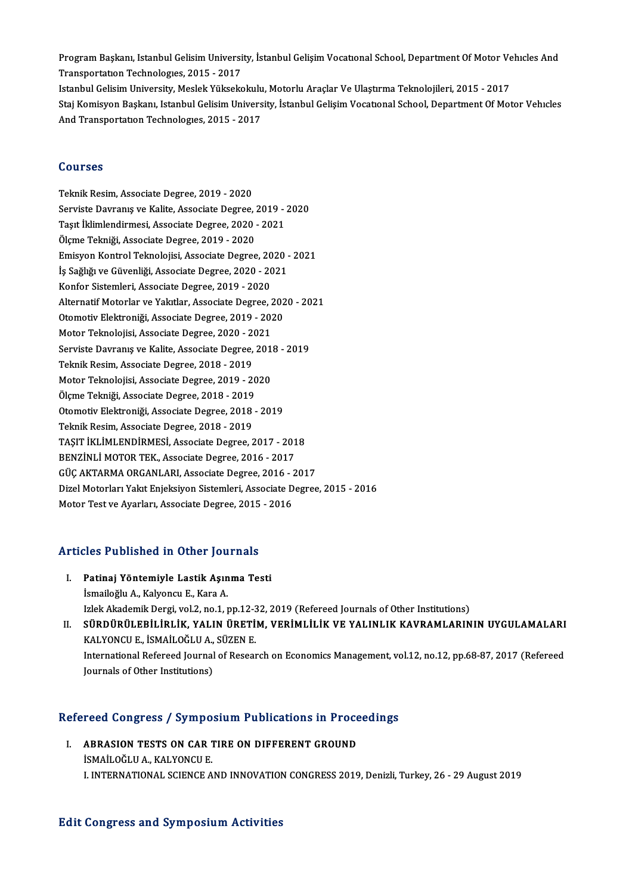Program Başkanı, Istanbul Gelisim University, İstanbul Gelişim Vocatıonal School, Department Of Motor Vehıcles And<br>Transportation Technologyes 2015 - 2017 Program Başkanı, Istanbul Gelisim Universi<br>Transportatıon Technologıes, 2015 - 2017<br>Istanbul Celisim University, Maslek Vülgeks Program Başkanı, Istanbul Gelisim University, İstanbul Gelişim Vocatıonal School, Department Of Motor Ve<br>Transportatıon Technologies, 2015 - 2017<br>Istanbul Gelisim University, Meslek Yüksekokulu, Motorlu Araçlar Ve Ulaştırm

Transportation Technologies, 2015 - 2017<br>Istanbul Gelisim University, Meslek Yüksekokulu, Motorlu Araçlar Ve Ulaştırma Teknolojileri, 2015 - 2017<br>Staj Komisyon Başkanı, Istanbul Gelisim University, İstanbul Gelişim Vocatio Istanbul Gelisim University, Meslek Yüksekokulu<br>Staj Komisyon Başkanı, Istanbul Gelisim Univers<br>And Transportation Technologies, 2015 - 2017 And Transportation Technologies, 2015 - 2017<br>Courses

Teknik Resim, Associate Degree, 2019 - 2020 Serviste Davranış ve Kalite, Associate Degree, 2019 - 2020 Teknik Resim, Associate Degree, 2019 - 2020<br>Serviste Davranış ve Kalite, Associate Degree, 2019 -<br>Taşıt İklimlendirmesi, Associate Degree, 2020 - 2021<br>Ölame Telmiği, Associate Degree, 2020 - 2020 Serviste Davranış ve Kalite, Associate Degree, 2<br>Taşıt İklimlendirmesi, Associate Degree, 2020<br>Ölçme Tekniği, Associate Degree, 2019 - 2020<br>Emisyon Kontrel Telmolojisi, Associate Degree Tașıt İklimlendirmesi, Associate Degree, 2020 - 2021<br>Ölçme Tekniği, Associate Degree, 2019 - 2020<br>Emisyon Kontrol Teknolojisi, Associate Degree, 2020 - 2021<br>İs Soğlığı ve Güyenliği, Associate Degree, 2020 - 2021 Ölçme Tekniği, Associate Degree, 2019 - 2020<br>Emisyon Kontrol Teknolojisi, Associate Degree, 2020 -<br>İş Sağlığı ve Güvenliği, Associate Degree, 2020 - 2021<br>Konfor Sistemleri, Associate Degree, 2020 - 2020 Emisyon Kontrol Teknolojisi, Associate Degree, 20<br>İş Sağlığı ve Güvenliği, Associate Degree, 2020 - 20<br>Konfor Sistemleri, Associate Degree, 2019 - 2020<br>Alternatif Meterler ve Yakıtlar, Associate Degree, 2 İş Sağlığı ve Güvenliği, Associate Degree, 2020 - 2021<br>Konfor Sistemleri, Associate Degree, 2019 - 2020<br>Alternatif Motorlar ve Yakıtlar, Associate Degree, 2020 - 2021 Konfor Sistemleri, Associate Degree, 2019 - 2020<br>Alternatif Motorlar ve Yakıtlar, Associate Degree, 202<br>Otomotiv Elektroniği, Associate Degree, 2019 - 2020<br>Meter Telmolojisi, Associate Degree, 2020, 2021 Alternatif Motorlar ve Yakıtlar, Associate Degree, 2<br>Otomotiv Elektroniği, Associate Degree, 2019 - 202<br>Motor Teknolojisi, Associate Degree, 2020 - 2021<br>Serviste Deyranus ve Kalite, Associate Degree, 2021 Otomotiv Elektroniği, Associate Degree, 2019 - 2020<br>Motor Teknolojisi, Associate Degree, 2020 - 2021<br>Serviste Davranış ve Kalite, Associate Degree, 2018 - 2019<br>Teknik Besim, Associate Degree, 2019, 2019 Motor Teknolojisi, Associate Degree, 2020 - 2021<br>Serviste Davranış ve Kalite, Associate Degree, 2018 - 2019<br>Teknik Resim, Associate Degree, 2018 - 2019 Serviste Davranış ve Kalite, Associate Degree, 201<br>Teknik Resim, Associate Degree, 2018 - 2019<br>Motor Teknolojisi, Associate Degree, 2019 - 2020<br>Ölsme Teknolojisi, Associate Degree, 2019 - 2019 Teknik Resim, Associate Degree, 2018 - 2019<br>Motor Teknolojisi, Associate Degree, 2019 - 20<br>Ölçme Tekniği, Associate Degree, 2018 - 2019<br>Otomotiv Elektroniği, Associate Degree, 2019 Motor Teknolojisi, Associate Degree, 2019 - 2020<br>Ölçme Tekniği, Associate Degree, 2018 - 2019<br>Otomotiv Elektroniği, Associate Degree, 2018 - 2019<br>Teknik Besim, Associate Degree, 2018 - 2019 Ölçme Tekniği, Associate Degree, 2018 - 2019<br>Otomotiv Elektroniği, Associate Degree, 2018<br>Teknik Resim, Associate Degree, 2018 - 2019<br>TASIT İKLİMI ENDİPMESİ, Associate Degree, 2 Otomotiv Elektroniği, Associate Degree, 2018 - 2019<br>Teknik Resim, Associate Degree, 2018 - 2019<br>TAŞIT İKLİMLENDİRMESİ, Associate Degree, 2017 - 2018<br>PENZİNLİ MOTOP TEK, Associate Degree, 2015 - 2017 Teknik Resim, Associate Degree, 2018 - 2019<br>TAŞIT İKLİMLENDİRMESİ, Associate Degree, 2017 - 201<br>BENZİNLİ MOTOR TEK., Associate Degree, 2016 - 2017<br>CÜC AKTARMA ORCANLARL Associate Degree, 2016 - 2 TAŞIT İKLİMLENDİRMESİ, Associate Degree, 2017 - 2018<br>BENZİNLİ MOTOR TEK., Associate Degree, 2016 - 2017<br>GÜÇ AKTARMA ORGANLARI, Associate Degree, 2016 - 2017<br>Direl Metorları Yalıt Enialraiyan Sistemleri, Associate Degree BENZİNLİ MOTOR TEK., Associate Degree, 2016 - 2017<br>GÜÇ AKTARMA ORGANLARI, Associate Degree, 2016 - 2017<br>Dizel Motorları Yakıt Enjeksiyon Sistemleri, Associate Degree, 2015 - 2016 Motor Test ve Ayarları, Associate Degree, 2015 - 2016

# Motor Test ve Ayariari, Associate Degree, 2015<br>Articles Published in Other Journals

- rticles Published in Other Journals<br>I. Patinaj Yöntemiyle Lastik Aşınma Testi<br>İsmailağlu A. Kalvançu E. Kara A I. Patinaj Yöntemiyle Lastik Aşınma Testi<br>İsmailoğlu A., Kalyoncu E., Kara A. Patinaj Yöntemiyle Lastik Aşınma Testi<br>İsmailoğlu A., Kalyoncu E., Kara A.<br>Izlek Akademik Dergi, vol.2, no.1, pp.12-32, 2019 (Refereed Journals of Other Institutions)<br>SÜRDÜRÜLERLI DI İK, YALIN ÜRETİM, VERİMLILI KVE YALINLI
- II. SÜRDÜRÜLEBİLİRLİK, YALIN ÜRETİM, VERİMLİLİK VE YALINLIK KAVRAMLARININ UYGULAMALARI<br>KALYONCU E., İSMAİLOĞLU A., SÜZEN E. Izlek Akademik Dergi, vol.2, no.1, pp.12-3<br>S<mark>ÜRDÜRÜLEBİLİRLİK, YALIN ÜRETİ</mark><br>KALYONCU E., İSMAİLOĞLU A., SÜZEN E.<br>International Befereed Jeurnal of Besser SÜRDÜRÜLEBİLİRLİK, YALIN ÜRETİM, VERİMLİLİK VE YALINLIK KAVRAMLARININ UYGULAMALARI<br>KALYONCU E., İSMAİLOĞLU A., SÜZEN E.<br>International Refereed Journal of Research on Economics Management, vol.12, no.12, pp.68-87, 2017 (Ref KALYONCU E., İSMAİLOĞLU A.,<br>International Refereed Journal<br>Journals of Other Institutions)

# <sub>Journais of Other Institutions)</sub><br>Refereed Congress / Symposium Publications in Proceedings

Efereed Congress / Symposium Publications in Proce<br>I. ABRASION TESTS ON CAR TIRE ON DIFFERENT GROUND<br>ISMAILOČEHA KALVONCUE I. ABRASION TESTS ON CAR TIRE ON DIFFERENT GROUND<br>ISMAILOĞLU A., KALYONCU E. I. INTERNATIONAL SCIENCE AND INNOVATION CONGRESS 2019, Denizli, Turkey, 26 - 29 August 2019

#### **Edit Congress and Symposium Activities**